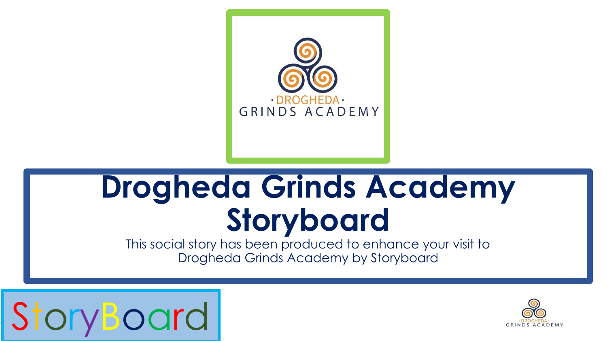

## **Drogheda Grinds Academy Storyboard**

This social story has been produced to enhance your visit to Drogheda Grinds Academy by Storyboard



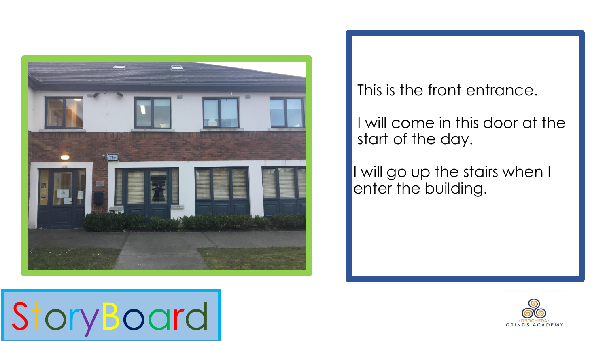

#### This is the front entrance.

I will come in this door at the start of the day.

I will go up the stairs when I enter the building.



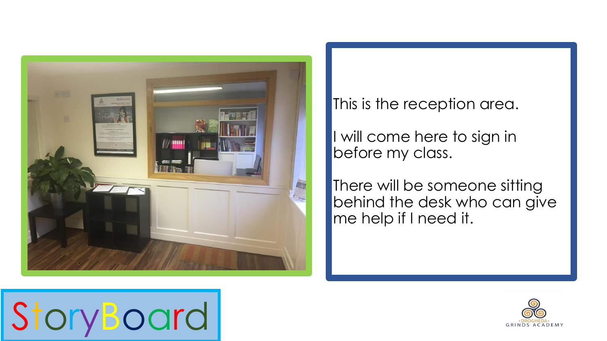

#### This is the reception area.

I will come here to sign in before my class.

There will be someone sitting behind the desk who can give me help if I need it.



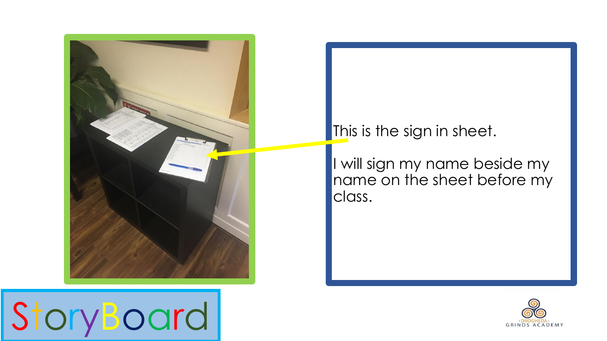

### This is the sign in sheet.

I will sign my name beside my name on the sheet before my class.



StoryBoard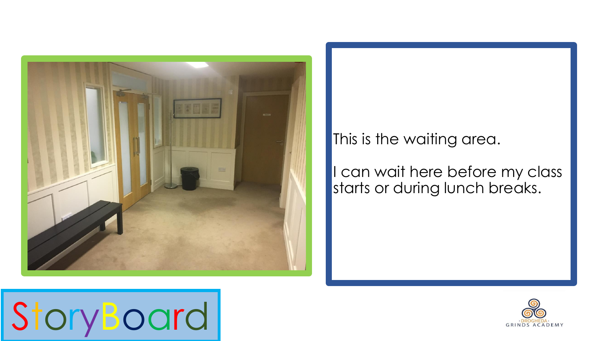

#### This is the waiting area.

#### I can wait here before my class starts or during lunch breaks.



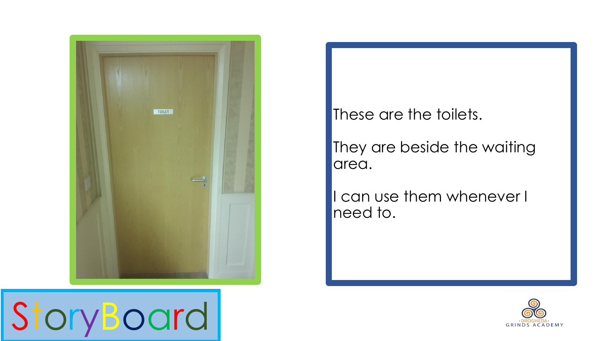

StoryBoard

These are the toilets.

They are beside the waiting area.

I can use them whenever I need to.

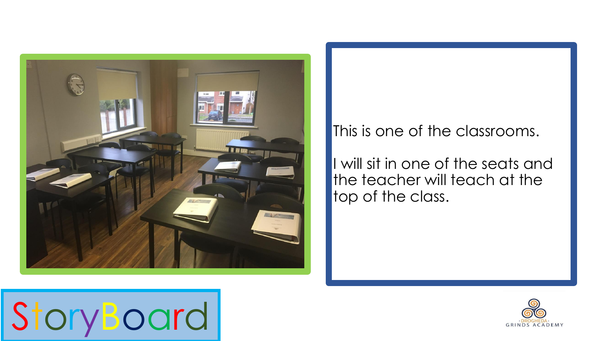

#### This is one of the classrooms.

I will sit in one of the seats and the teacher will teach at the top of the class.



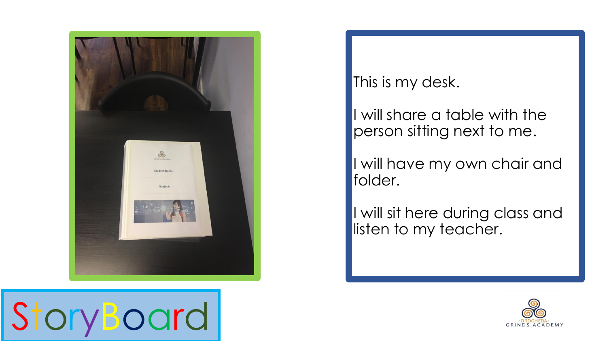

#### This is my desk.

I will share a table with the person sitting next to me.

I will have my own chair and folder.

I will sit here during class and listen to my teacher.



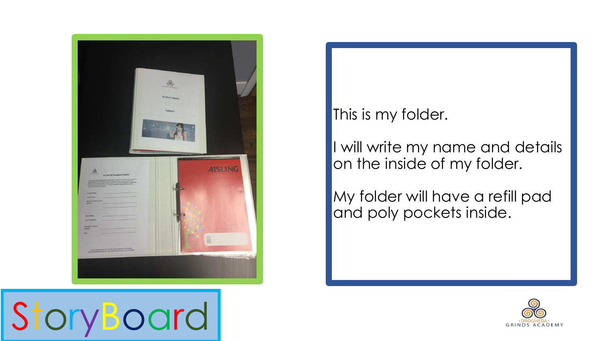

#### This is my folder.

I will write my name and details on the inside of my folder.

My folder will have a refill pad and poly pockets inside.



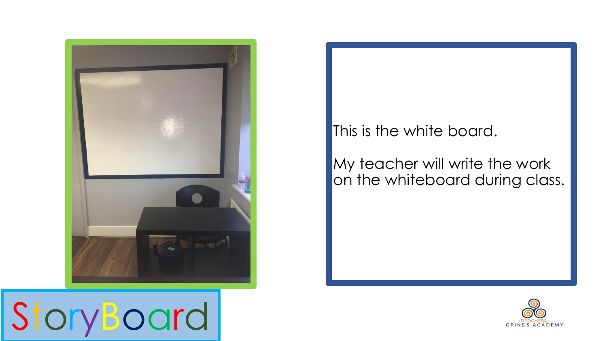

# StoryBoard

#### This is the white board.

My teacher will write the work on the whiteboard during class.

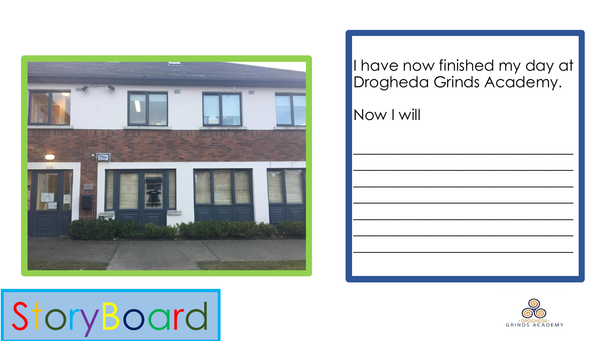

#### I have now finished my day at Drogheda Grinds Academy.

Now I will